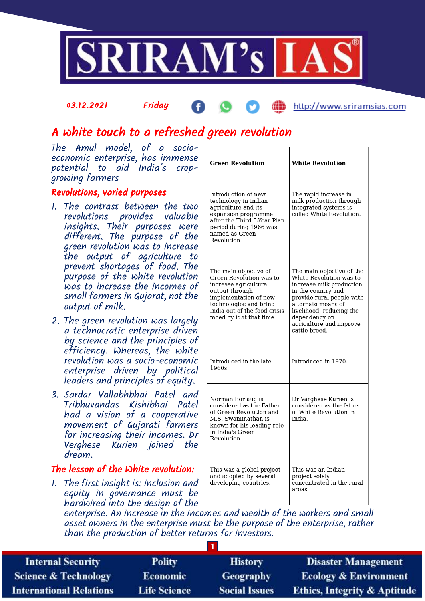

### 03.12.2021 Friday

# http://www.sriramsias.com

# A white touch to a refreshed green revolution

The Amul model, of a socioeconomic enterprise, has immense potential to aid India's cropgrowing farmers

# Revolutions, varied purposes

- 1. The contrast between the two revolutions provides valuable insights. Their purposes were different. The purpose of the green revolution was to increase the output of agriculture to prevent shortages of food. The purpose of the white revolution was to increase the incomes of small farmers in Gujarat, not the output of milk.
- 2. The green revolution was largely a technocratic enterprise driven by science and the principles of efficiency. Whereas, the white revolution was a socio-economic enterprise driven by political leaders and principles of equity.
- 3. Sardar Vallabhbhai Patel and Tribhuvandas Kishibhai Patel had a vision of a cooperative movement of Gujarati farmers for increasing their incomes. Dr Verghese Kurien joined the dream.

# The lesson of the White revolution:

1. The first insight is: inclusion and equity in governance must be hardwired into the design of the

| <b>Green Revolution</b>                                                                                                                                                                                     | <b>White Revolution</b>                                                                                                                                                                                                                            |
|-------------------------------------------------------------------------------------------------------------------------------------------------------------------------------------------------------------|----------------------------------------------------------------------------------------------------------------------------------------------------------------------------------------------------------------------------------------------------|
| Introduction of new<br>technology in Indian<br>agriculture and its<br>expansion programme<br>after the Third 5-Year Plan<br>period during 1966 was<br>named as Green<br>Revolution.                         | The rapid increase in<br>milk production through<br>integrated systems is<br>called White Revolution.                                                                                                                                              |
| The main objective of<br>Green Revolution was to<br>increase agricultural<br>output through<br>implementation of new<br>technologies and bring<br>India out of the food crisis<br>faced by it at that time. | The main objective of the<br>White Revolution was to<br>increase milk production<br>in the country and<br>provide rural people with<br>alternate means of<br>livelihood, reducing the<br>dependency on<br>agriculture and improve<br>cattle breed. |
| Introduced in the late<br>1960s.                                                                                                                                                                            | Introduced in 1970.                                                                                                                                                                                                                                |
| Norman Borlaug is<br>considered as the Father<br>of Green Revolution and<br>M.S. Swaminathan is<br>known for his leading role<br>in India's Green<br>Revolution.                                            | Dr Varghese Kurien is<br>considered as the father<br>of White Revolution in<br>India.                                                                                                                                                              |
| This was a global project<br>and adopted by several<br>developing countries.                                                                                                                                | This was an Indian<br>project solely<br>concentrated in the rural<br>areas.                                                                                                                                                                        |

enterprise. An increase in the incomes and wealth of the workers and small asset owners in the enterprise must be the purpose of the enterprise, rather than the production of better returns for investors.

| <b>Internal Security</b>        | <b>Polity</b>       | <b>History</b>       | <b>Disaster Management</b>              |  |  |
|---------------------------------|---------------------|----------------------|-----------------------------------------|--|--|
| <b>Science &amp; Technology</b> | <b>Economic</b>     | <b>Geography</b>     | <b>Ecology &amp; Environment</b>        |  |  |
| <b>International Relations</b>  | <b>Life Science</b> | <b>Social Issues</b> | <b>Ethics, Integrity &amp; Aptitude</b> |  |  |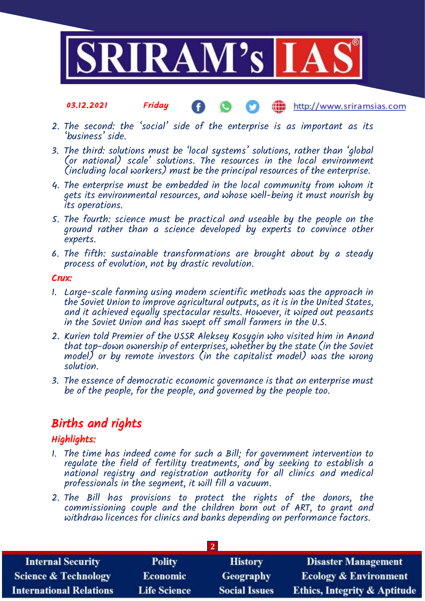

#### 03.12.2021 Friday http://www.sriramsias.com

- 2. The second: the 'social' side of the enterprise is as important as its 'business' side.
- 3. The third: solutions must be 'local systems' solutions, rather than 'global (or national) scale' solutions. The resources in the local environment (including local workers) must be the principal resources of the enterprise.
- 4. The enterprise must be embedded in the local community from whom it gets its environmental resources, and whose well-being it must nourish by its operations.
- 5. The fourth: science must be practical and useable by the people on the ground rather than a science developed by experts to convince other experts.
- 6. The fifth: sustainable transformations are brought about by a steady process of evolution, not by drastic revolution.

### Crux:

- 1. Large-scale farming using modern scientific methods was the approach in the Soviet Union to improve agricultural outputs, as it is in the United States, and it achieved equally spectacular results. However, it wiped out peasants in the Soviet Union and has swept off small farmers in the U.S.
- 2. Kurien told Premier of the USSR Aleksey Kosygin who visited him in Anand that top-down ownership of enterprises, whether by the state (in the Soviet model) or by remote investors (in the capitalist model) was the wrong solution.
- 3. The essence of democratic economic governance is that an enterprise must be of the people, for the people, and governed by the people too.

# Births and rights

# Highlights:

- 1. The time has indeed come for such a Bill; for government intervention to regulate the field of fertility treatments, and by seeking to establish a national registry and registration authority for all clinics and medical professionals in the segment, it will fill a vacuum.
- 2. The Bill has provisions to protect the rights of the donors, the commissioning couple and the children born out of ART, to grant and commissioning couple and one emailed for look one of their, as grand and withdraw licences for clinics and banks depending on performance factors.

| <b>Internal Security</b>        | <b>Polity</b>       | <b>History</b>       | <b>Disaster Management</b>              |  |  |
|---------------------------------|---------------------|----------------------|-----------------------------------------|--|--|
| <b>Science &amp; Technology</b> | <b>Economic</b>     | <b>Geography</b>     | <b>Ecology &amp; Environment</b>        |  |  |
| <b>International Relations</b>  | <b>Life Science</b> | <b>Social Issues</b> | <b>Ethics, Integrity &amp; Aptitude</b> |  |  |